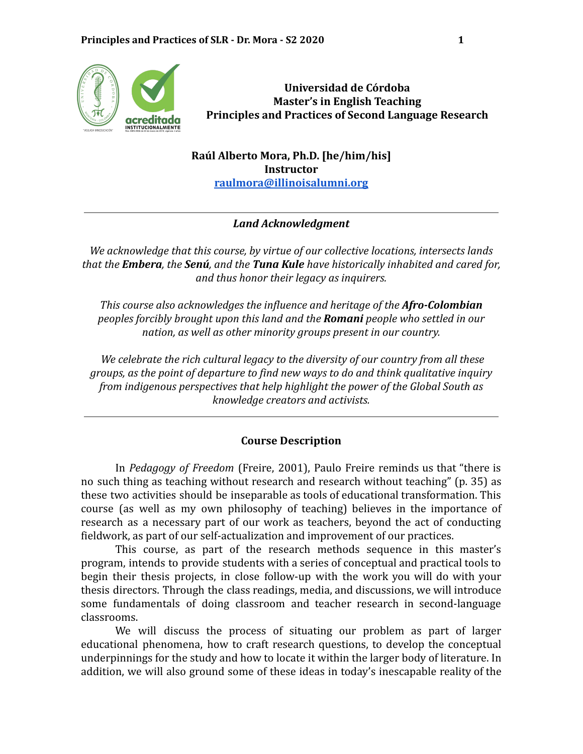

**Universidad de Córdoba Master's in English Teaching Principles and Practices of Second Language Research**

**Raúl Alberto Mora, Ph.D. [he/him/his] Instructor [raulmora@illinoisalumni.org](mailto:raulmora@illinoisalumni.org)**

#### *Land Acknowledgment*

*We acknowledge that this course, by virtue of our collective locations, intersects lands that the Embera, the Senú, and the Tuna Kule have historically inhabited and cared for, and thus honor their legacy as inquirers.*

*This course also acknowledges the influence and heritage of the Afro-Colombian peoples forcibly brought upon this land and the Romani people who settled in our nation, as well as other minority groups present in our country.*

*We celebrate the rich cultural legacy to the diversity of our country from all these groups, as the point of departure to find new ways to do and think qualitative inquiry from indigenous perspectives that help highlight the power of the Global South as knowledge creators and activists.*

#### **Course Description**

In *Pedagogy of Freedom* (Freire, 2001), Paulo Freire reminds us that "there is no such thing as teaching without research and research without teaching" (p. 35) as these two activities should be inseparable as tools of educational transformation. This course (as well as my own philosophy of teaching) believes in the importance of research as a necessary part of our work as teachers, beyond the act of conducting fieldwork, as part of our self-actualization and improvement of our practices.

This course, as part of the research methods sequence in this master's program, intends to provide students with a series of conceptual and practical tools to begin their thesis projects, in close follow-up with the work you will do with your thesis directors. Through the class readings, media, and discussions, we will introduce some fundamentals of doing classroom and teacher research in second-language classrooms.

We will discuss the process of situating our problem as part of larger educational phenomena, how to craft research questions, to develop the conceptual underpinnings for the study and how to locate it within the larger body of literature. In addition, we will also ground some of these ideas in today's inescapable reality of the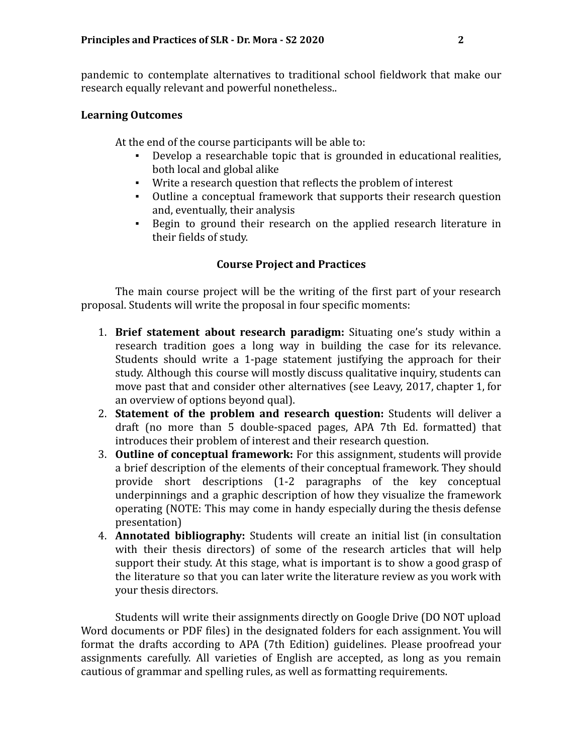pandemic to contemplate alternatives to traditional school fieldwork that make our research equally relevant and powerful nonetheless..

### **Learning Outcomes**

At the end of the course participants will be able to:

- Develop a researchable topic that is grounded in educational realities, both local and global alike
- Write a research question that reflects the problem of interest
- Outline a conceptual framework that supports their research question and, eventually, their analysis
- Begin to ground their research on the applied research literature in their fields of study.

# **Course Project and Practices**

The main course project will be the writing of the first part of your research proposal. Students will write the proposal in four specific moments:

- 1. **Brief statement about research paradigm:** Situating one's study within a research tradition goes a long way in building the case for its relevance. Students should write a 1-page statement justifying the approach for their study. Although this course will mostly discuss qualitative inquiry, students can move past that and consider other alternatives (see Leavy, 2017, chapter 1, for an overview of options beyond qual).
- 2. **Statement of the problem and research question:** Students will deliver a draft (no more than 5 double-spaced pages, APA 7th Ed. formatted) that introduces their problem of interest and their research question.
- 3. **Outline of conceptual framework:** For this assignment, students will provide a brief description of the elements of their conceptual framework. They should provide short descriptions (1-2 paragraphs of the key conceptual underpinnings and a graphic description of how they visualize the framework operating (NOTE: This may come in handy especially during the thesis defense presentation)
- 4. **Annotated bibliography:** Students will create an initial list (in consultation with their thesis directors) of some of the research articles that will help support their study. At this stage, what is important is to show a good grasp of the literature so that you can later write the literature review as you work with your thesis directors.

Students will write their assignments directly on Google Drive (DO NOT upload Word documents or PDF files) in the designated folders for each assignment. You will format the drafts according to APA (7th Edition) guidelines. Please proofread your assignments carefully. All varieties of English are accepted, as long as you remain cautious of grammar and spelling rules, as well as formatting requirements.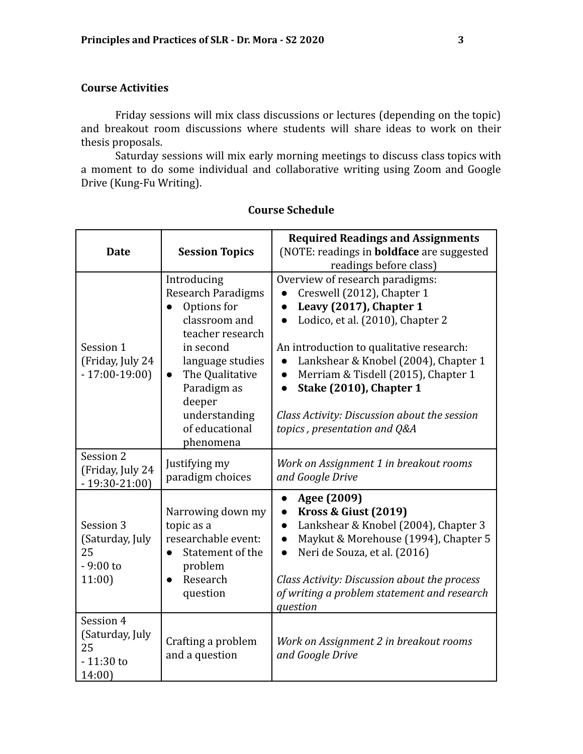#### **Course Activities**

Friday sessions will mix class discussions or lectures (depending on the topic) and breakout room discussions where students will share ideas to work on their thesis proposals.

Saturday sessions will mix early morning meetings to discuss class topics with a moment to do some individual and collaborative writing using Zoom and Google Drive (Kung-Fu Writing).

| <b>Date</b>                                                | <b>Session Topics</b>                                                                                                                                                                                                     | <b>Required Readings and Assignments</b><br>(NOTE: readings in <b>boldface</b> are suggested<br>readings before class)                                                                                                                                                                                                                                                                                    |
|------------------------------------------------------------|---------------------------------------------------------------------------------------------------------------------------------------------------------------------------------------------------------------------------|-----------------------------------------------------------------------------------------------------------------------------------------------------------------------------------------------------------------------------------------------------------------------------------------------------------------------------------------------------------------------------------------------------------|
| Session 1<br>(Friday, July 24<br>$-17:00-19:00$            | Introducing<br><b>Research Paradigms</b><br>Options for<br>classroom and<br>teacher research<br>in second<br>language studies<br>The Qualitative<br>Paradigm as<br>deeper<br>understanding<br>of educational<br>phenomena | Overview of research paradigms:<br>Creswell (2012), Chapter 1<br>Leavy (2017), Chapter 1<br>$\bullet$<br>Lodico, et al. (2010), Chapter 2<br>An introduction to qualitative research:<br>Lankshear & Knobel (2004), Chapter 1<br>$\bullet$<br>Merriam & Tisdell (2015), Chapter 1<br>$\bullet$<br>Stake (2010), Chapter 1<br>Class Activity: Discussion about the session<br>topics, presentation and Q&A |
| Session 2<br>(Friday, July 24<br>$-19:30-21:00$            | Justifying my<br>paradigm choices                                                                                                                                                                                         | Work on Assignment 1 in breakout rooms<br>and Google Drive                                                                                                                                                                                                                                                                                                                                                |
| Session 3<br>(Saturday, July<br>25<br>$-9:00$ to<br>11:00  | Narrowing down my<br>topic as a<br>researchable event:<br>Statement of the<br>problem<br>Research<br>question                                                                                                             | Agee (2009)<br><b>Kross &amp; Giust (2019)</b><br>$\bullet$<br>Lankshear & Knobel (2004), Chapter 3<br>$\bullet$<br>Maykut & Morehouse (1994), Chapter 5<br>Neri de Souza, et al. (2016)<br>Class Activity: Discussion about the process<br>of writing a problem statement and research<br>question                                                                                                       |
| Session 4<br>(Saturday, July<br>25<br>$-11:30$ to<br>14:00 | Crafting a problem<br>and a question                                                                                                                                                                                      | Work on Assignment 2 in breakout rooms<br>and Google Drive                                                                                                                                                                                                                                                                                                                                                |

#### **Course Schedule**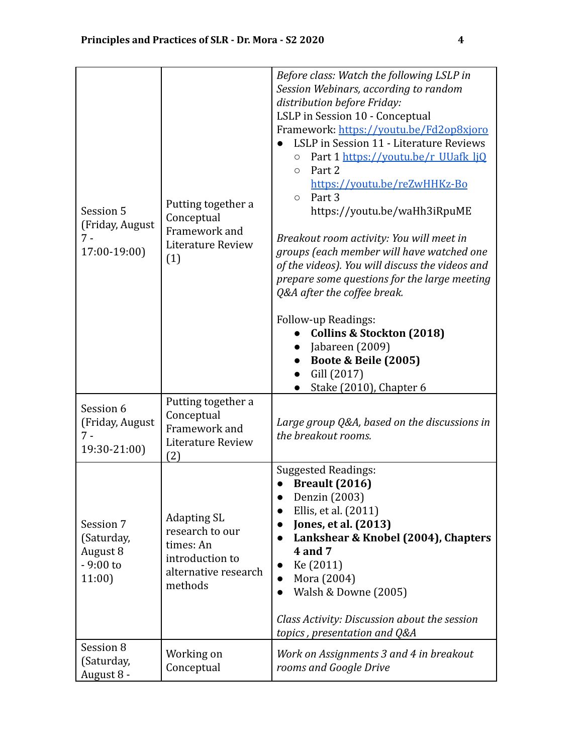| Session 5<br>(Friday, August<br>$7 -$<br>17:00-19:00)      | Putting together a<br>Conceptual<br>Framework and<br>Literature Review<br>(1)                            | Before class: Watch the following LSLP in<br>Session Webinars, according to random<br>distribution before Friday:<br>LSLP in Session 10 - Conceptual<br>Framework: https://youtu.be/Fd2op8xjoro<br>LSLP in Session 11 - Literature Reviews<br>Part 1 https://youtu.be/r_UUafk_ljQ<br>$\circ$<br>Part 2<br>$\circ$<br>https://youtu.be/reZwHHKz-Bo<br>Part 3<br>$\circ$<br>https://youtu.be/waHh3iRpuME<br>Breakout room activity: You will meet in<br>groups (each member will have watched one<br>of the videos). You will discuss the videos and<br>prepare some questions for the large meeting<br>Q&A after the coffee break.<br>Follow-up Readings:<br><b>Collins &amp; Stockton (2018)</b><br>$\bullet$ Jabareen (2009)<br><b>Boote &amp; Beile (2005)</b><br>$\bullet$<br>Gill (2017)<br>$\bullet$<br>Stake (2010), Chapter 6 |
|------------------------------------------------------------|----------------------------------------------------------------------------------------------------------|--------------------------------------------------------------------------------------------------------------------------------------------------------------------------------------------------------------------------------------------------------------------------------------------------------------------------------------------------------------------------------------------------------------------------------------------------------------------------------------------------------------------------------------------------------------------------------------------------------------------------------------------------------------------------------------------------------------------------------------------------------------------------------------------------------------------------------------|
| Session 6<br>(Friday, August<br>$7 -$<br>19:30-21:00)      | Putting together a<br>Conceptual<br>Framework and<br>Literature Review<br>$\left( 2\right)$              | Large group Q&A, based on the discussions in<br>the breakout rooms.                                                                                                                                                                                                                                                                                                                                                                                                                                                                                                                                                                                                                                                                                                                                                                  |
| Session 7<br>(Saturday,<br>August 8<br>$-9:00$ to<br>11:00 | <b>Adapting SL</b><br>research to our<br>times: An<br>introduction to<br>alternative research<br>methods | <b>Suggested Readings:</b><br><b>Breault (2016)</b><br>Denzin (2003)<br>$\bullet$<br>Ellis, et al. (2011)<br>$\bullet$<br>Jones, et al. (2013)<br>$\bullet$<br>Lankshear & Knobel (2004), Chapters<br>$\bullet$<br><b>4 and 7</b><br>Ke (2011)<br>$\bullet$<br>Mora (2004)<br>$\bullet$<br>Walsh & Downe (2005)<br>$\bullet$<br>Class Activity: Discussion about the session<br>topics, presentation and Q&A                                                                                                                                                                                                                                                                                                                                                                                                                         |
| Session 8<br>(Saturday,<br>August 8 -                      | Working on<br>Conceptual                                                                                 | Work on Assignments 3 and 4 in breakout<br>rooms and Google Drive                                                                                                                                                                                                                                                                                                                                                                                                                                                                                                                                                                                                                                                                                                                                                                    |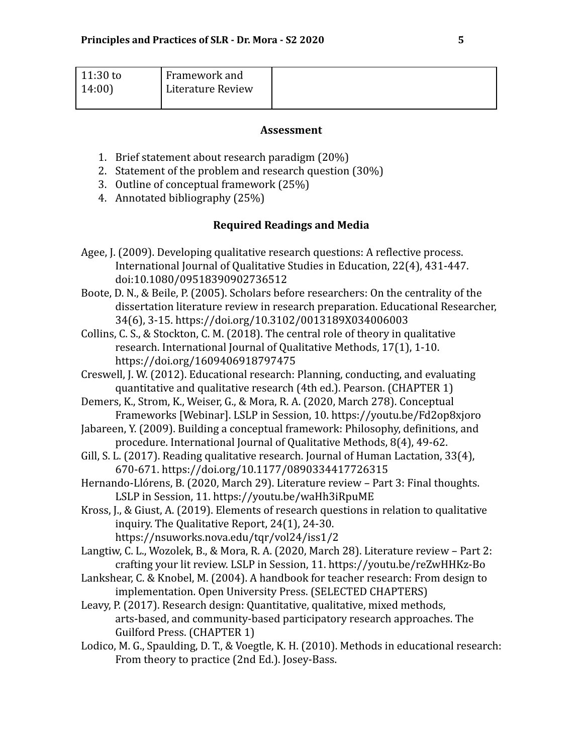| 11:30 to        | Framework and     |
|-----------------|-------------------|
| $ 14:00\rangle$ | Literature Review |
|                 |                   |

#### **Assessment**

- 1. Brief statement about research paradigm (20%)
- 2. Statement of the problem and research question (30%)
- 3. Outline of conceptual framework (25%)
- 4. Annotated bibliography (25%)

### **Required Readings and Media**

| Agee, J. (2009). Developing qualitative research questions: A reflective process.   |
|-------------------------------------------------------------------------------------|
| International Journal of Qualitative Studies in Education, 22(4), 431-447.          |
| doi:10.1080/09518390902736512                                                       |
| Roote D.N. & Roile D. (2005). Scholars before researchers: On the contrality of the |

- Boote, D. N., & Beile, P. (2005). Scholars before researchers: On the centrality of the dissertation literature review in research preparation. Educational Researcher, 34(6), 3-15. https://doi.org/10.3102/0013189X034006003
- Collins, C. S., & Stockton, C. M. (2018). The central role of theory in qualitative research. International Journal of Qualitative Methods, 17(1), 1-10. https://doi.org/1609406918797475
- Creswell, J. W. (2012). Educational research: Planning, conducting, and evaluating quantitative and qualitative research (4th ed.). Pearson. (CHAPTER 1)
- Demers, K., Strom, K., Weiser, G., & Mora, R. A. (2020, March 278). Conceptual Frameworks [Webinar]. LSLP in Session, 10. https://youtu.be/Fd2op8xjoro
- Jabareen, Y. (2009). Building a conceptual framework: Philosophy, definitions, and procedure. International Journal of Qualitative Methods, 8(4), 49-62.
- Gill, S. L. (2017). Reading qualitative research. Journal of Human Lactation, 33(4), 670-671. https://doi.org/10.1177/0890334417726315
- Hernando-Llórens, B. (2020, March 29). Literature review Part 3: Final thoughts. LSLP in Session, 11. https://youtu.be/waHh3iRpuME
- Kross, J., & Giust, A. (2019). Elements of research questions in relation to qualitative inquiry. The Qualitative Report, 24(1), 24-30. https://nsuworks.nova.edu/tqr/vol24/iss1/2
- Langtiw, C. L., Wozolek, B., & Mora, R. A. (2020, March 28). Literature review Part 2: crafting your lit review. LSLP in Session, 11. https://youtu.be/reZwHHKz-Bo
- Lankshear, C. & Knobel, M. (2004). A handbook for teacher research: From design to implementation. Open University Press. (SELECTED CHAPTERS)
- Leavy, P. (2017). Research design: Quantitative, qualitative, mixed methods, arts-based, and community-based participatory research approaches. The Guilford Press. (CHAPTER 1)
- Lodico, M. G., Spaulding, D. T., & Voegtle, K. H. (2010). Methods in educational research: From theory to practice (2nd Ed.). Josey-Bass.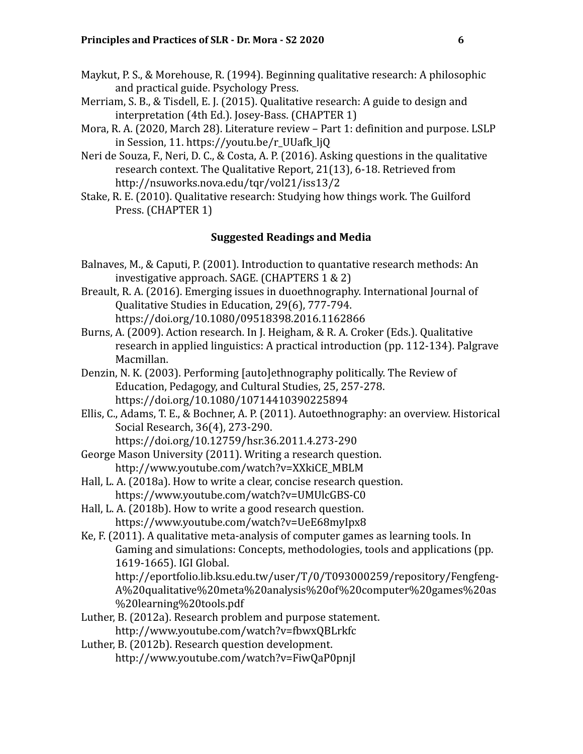- Maykut, P. S., & Morehouse, R. (1994). Beginning qualitative research: A philosophic and practical guide. Psychology Press.
- Merriam, S. B., & Tisdell, E. J. (2015). Qualitative research: A guide to design and interpretation (4th Ed.). Josey-Bass. (CHAPTER 1)
- Mora, R. A. (2020, March 28). Literature review Part 1: definition and purpose. LSLP in Session, 11. https://youtu.be/r\_UUafk\_ljQ
- Neri de Souza, F., Neri, D. C., & Costa, A. P. (2016). Asking questions in the qualitative research context. The Qualitative Report, 21(13), 6-18. Retrieved from http://nsuworks.nova.edu/tqr/vol21/iss13/2
- Stake, R. E. (2010). Qualitative research: Studying how things work. The Guilford Press. (CHAPTER 1)

## **Suggested Readings and Media**

- Balnaves, M., & Caputi, P. (2001). Introduction to quantative research methods: An investigative approach. SAGE. (CHAPTERS 1 & 2)
- Breault, R. A. (2016). Emerging issues in duoethnography. International Journal of Qualitative Studies in Education, 29(6), 777-794. https://doi.org/10.1080/09518398.2016.1162866
- Burns, A. (2009). Action research. In J. Heigham, & R. A. Croker (Eds.). Qualitative research in applied linguistics: A practical introduction (pp. 112-134). Palgrave Macmillan.
- Denzin, N. K. (2003). Performing [auto]ethnography politically. The Review of Education, Pedagogy, and Cultural Studies, 25, 257-278. https://doi.org/10.1080/10714410390225894
- Ellis, C., Adams, T. E., & Bochner, A. P. (2011). Autoethnography: an overview. Historical Social Research, 36(4), 273-290.
	- https://doi.org/10.12759/hsr.36.2011.4.273-290
- George Mason University (2011). Writing a research question. http://www.youtube.com/watch?v=XXkiCE\_MBLM
- Hall, L. A. (2018a). How to write a clear, concise research question. https://www.youtube.com/watch?v=UMUlcGBS-C0
- Hall, L. A. (2018b). How to write a good research question. https://www.youtube.com/watch?v=UeE68myIpx8
- Ke, F. (2011). A qualitative meta-analysis of computer games as learning tools. In Gaming and simulations: Concepts, methodologies, tools and applications (pp. 1619-1665). IGI Global.
	- http://eportfolio.lib.ksu.edu.tw/user/T/0/T093000259/repository/Fengfeng-A%20qualitative%20meta%20analysis%20of%20computer%20games%20as %20learning%20tools.pdf
- Luther, B. (2012a). Research problem and purpose statement. http://www.youtube.com/watch?v=fbwxQBLrkfc
- Luther, B. (2012b). Research question development. http://www.youtube.com/watch?v=FiwQaP0pnjI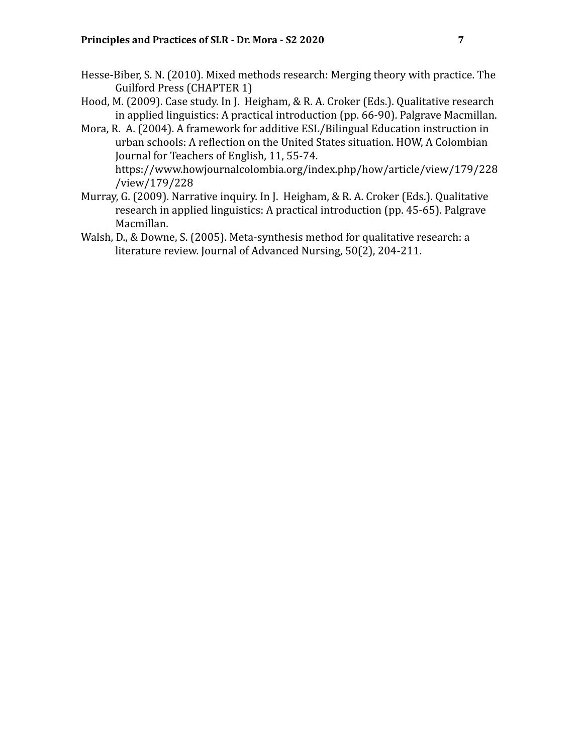- Hesse-Biber, S. N. (2010). Mixed methods research: Merging theory with practice. The Guilford Press (CHAPTER 1)
- Hood, M. (2009). Case study. In J. Heigham, & R. A. Croker (Eds.). Qualitative research in applied linguistics: A practical introduction (pp. 66-90). Palgrave Macmillan.
- Mora, R. A. (2004). A framework for additive ESL/Bilingual Education instruction in urban schools: A reflection on the United States situation. HOW, A Colombian Journal for Teachers of English, 11, 55-74. https://www.howjournalcolombia.org/index.php/how/article/view/179/228 /view/179/228
- Murray, G. (2009). Narrative inquiry. In J. Heigham, & R. A. Croker (Eds.). Qualitative research in applied linguistics: A practical introduction (pp. 45-65). Palgrave Macmillan.
- Walsh, D., & Downe, S. (2005). Meta‐synthesis method for qualitative research: a literature review. Journal of Advanced Nursing, 50(2), 204-211.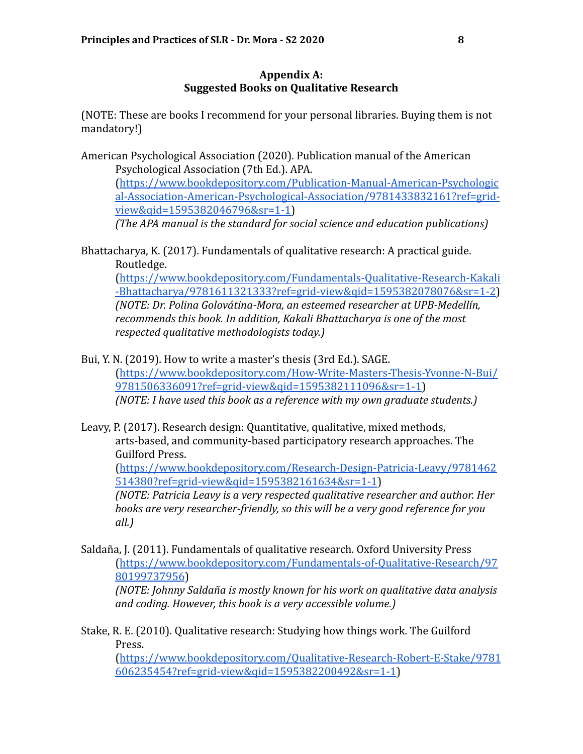### **Appendix A: Suggested Books on Qualitative Research**

(NOTE: These are books I recommend for your personal libraries. Buying them is not mandatory!)

American Psychological Association (2020). Publication manual of the American Psychological Association (7th Ed.). APA.

([https://www.bookdepository.com/Publication-Manual-American-Psychologic](https://www.bookdepository.com/Publication-Manual-American-Psychological-Association-American-Psychological-Association/9781433832161?ref=grid-view&qid=1595382046796&sr=1-1) [al-Association-American-Psychological-Association/9781433832161?ref=grid](https://www.bookdepository.com/Publication-Manual-American-Psychological-Association-American-Psychological-Association/9781433832161?ref=grid-view&qid=1595382046796&sr=1-1)[view&qid=1595382046796&sr=1-1\)](https://www.bookdepository.com/Publication-Manual-American-Psychological-Association-American-Psychological-Association/9781433832161?ref=grid-view&qid=1595382046796&sr=1-1)

*(The APA manual is the standard for social science and education publications)*

Bhattacharya, K. (2017). Fundamentals of qualitative research: A practical guide. Routledge.

([https://www.bookdepository.com/Fundamentals-Qualitative-Research-Kakali](https://www.bookdepository.com/Fundamentals-Qualitative-Research-Kakali-Bhattacharya/9781611321333?ref=grid-view&qid=1595382078076&sr=1-2) [-Bhattacharya/9781611321333?ref=grid-view&qid=1595382078076&sr=1-2\)](https://www.bookdepository.com/Fundamentals-Qualitative-Research-Kakali-Bhattacharya/9781611321333?ref=grid-view&qid=1595382078076&sr=1-2) *(NOTE: Dr. Polina Golovátina-Mora, an esteemed researcher at UPB-Medellín, recommends this book. In addition, Kakali Bhattacharya is one of the most respected qualitative methodologists today.)*

Bui, Y. N. (2019). How to write a master's thesis (3rd Ed.). SAGE. ([https://www.bookdepository.com/How-Write-Masters-Thesis-Yvonne-N-Bui/](https://www.bookdepository.com/How-Write-Masters-Thesis-Yvonne-N-Bui/9781506336091?ref=grid-view&qid=1595382111096&sr=1-1) [9781506336091?ref=grid-view&qid=1595382111096&sr=1-1\)](https://www.bookdepository.com/How-Write-Masters-Thesis-Yvonne-N-Bui/9781506336091?ref=grid-view&qid=1595382111096&sr=1-1) *(NOTE: I have used this book as a reference with my own graduate students.)*

Leavy, P. (2017). Research design: Quantitative, qualitative, mixed methods, arts-based, and community-based participatory research approaches. The Guilford Press. ([https://www.bookdepository.com/Research-Design-Patricia-Leavy/9781462](https://www.bookdepository.com/Research-Design-Patricia-Leavy/9781462514380?ref=grid-view&qid=1595382161634&sr=1-1) [514380?ref=grid-view&qid=1595382161634&sr=1-1](https://www.bookdepository.com/Research-Design-Patricia-Leavy/9781462514380?ref=grid-view&qid=1595382161634&sr=1-1)) *(NOTE: Patricia Leavy is a very respected qualitative researcher and author. Her books are very researcher-friendly, so this will be a very good reference for you all.)*

Saldaña, J. (2011). Fundamentals of qualitative research. Oxford University Press ([https://www.bookdepository.com/Fundamentals-of-Qualitative-Research/97](https://www.bookdepository.com/Fundamentals-of-Qualitative-Research/9780199737956) [80199737956](https://www.bookdepository.com/Fundamentals-of-Qualitative-Research/9780199737956))

*(NOTE: Johnny Saldaña is mostly known for his work on qualitative data analysis and coding. However, this book is a very accessible volume.)*

Stake, R. E. (2010). Qualitative research: Studying how things work. The Guilford Press.

([https://www.bookdepository.com/Qualitative-Research-Robert-E-Stake/9781](https://www.bookdepository.com/Qualitative-Research-Robert-E-Stake/9781606235454?ref=grid-view&qid=1595382200492&sr=1-1) [606235454?ref=grid-view&qid=1595382200492&sr=1-1](https://www.bookdepository.com/Qualitative-Research-Robert-E-Stake/9781606235454?ref=grid-view&qid=1595382200492&sr=1-1))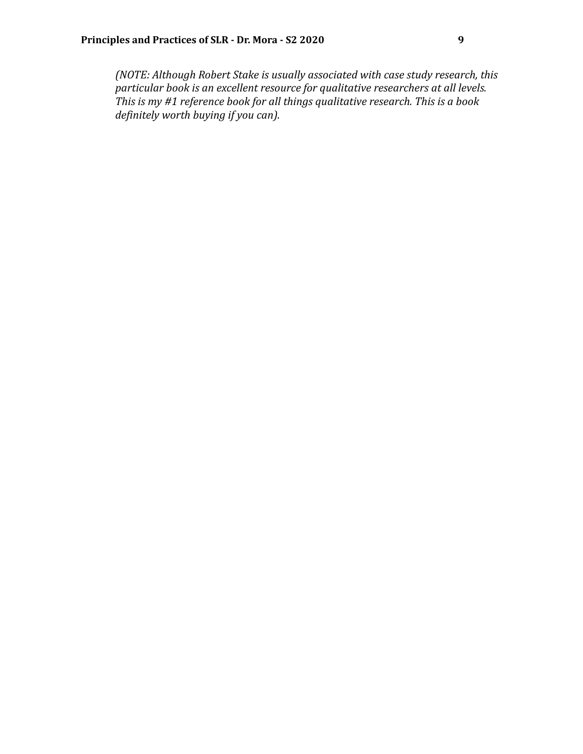*(NOTE: Although Robert Stake is usually associated with case study research, this particular book is an excellent resource for qualitative researchers at all levels. This is my #1 reference book for all things qualitative research. This is a book definitely worth buying if you can).*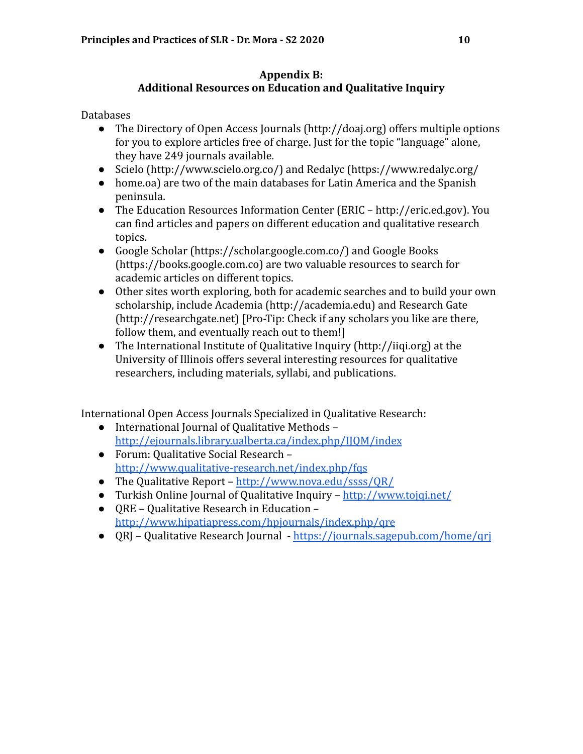### **Appendix B: Additional Resources on Education and Qualitative Inquiry**

Databases

- The Directory of Open Access Journals (http://doaj.org) offers multiple options for you to explore articles free of charge. Just for the topic "language" alone, they have 249 journals available.
- Scielo (http://www.scielo.org.co/) and Redalyc (https://www.redalyc.org/
- home.oa) are two of the main databases for Latin America and the Spanish peninsula.
- The Education Resources Information Center (ERIC http://eric.ed.gov). You can find articles and papers on different education and qualitative research topics.
- Google Scholar (https://scholar.google.com.co/) and Google Books (https://books.google.com.co) are two valuable resources to search for academic articles on different topics.
- Other sites worth exploring, both for academic searches and to build your own scholarship, include Academia (http://academia.edu) and Research Gate (http://researchgate.net) [Pro-Tip: Check if any scholars you like are there, follow them, and eventually reach out to them!]
- The International Institute of Qualitative Inquiry (http://iiqi.org) at the University of Illinois offers several interesting resources for qualitative researchers, including materials, syllabi, and publications.

International Open Access Journals Specialized in Qualitative Research:

- International Journal of Qualitative Methods <http://ejournals.library.ualberta.ca/index.php/IJQM/index>
- Forum: Qualitative Social Research <http://www.qualitative-research.net/index.php/fqs>
- The Qualitative Report <http://www.nova.edu/ssss/QR/>
- Turkish Online Journal of Qualitative Inquiry <http://www.tojqi.net/>
- QRE Qualitative Research in Education <http://www.hipatiapress.com/hpjournals/index.php/qre>
- QRJ Qualitative Research Journal <https://journals.sagepub.com/home/qrj>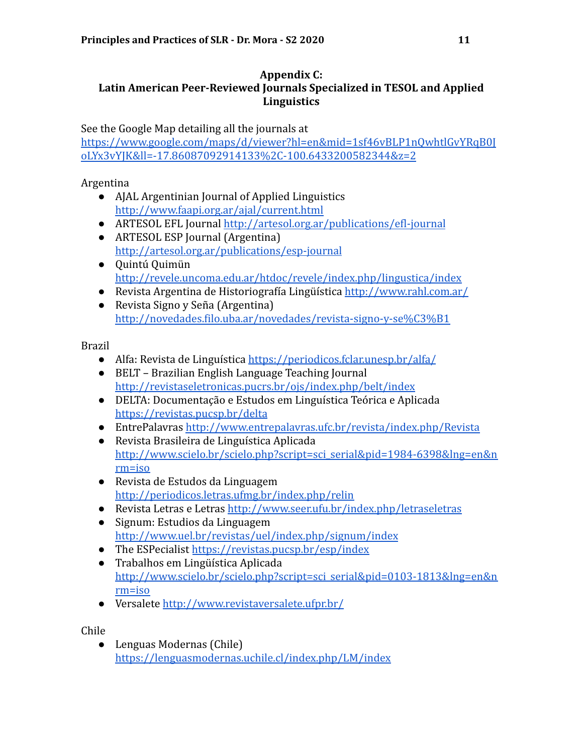# **Appendix C:**

# **Latin American Peer-Reviewed Journals Specialized in TESOL and Applied Linguistics**

See the Google Map detailing all the journals at

[https://www.google.com/maps/d/viewer?hl=en&mid=1sf46vBLP1nQwhtlGvYRqB0J](https://www.google.com/maps/d/viewer?hl=en&mid=1sf46vBLP1nQwhtlGvYRqB0JoLYx3vYJK&ll=-17.86087092914133%2C-100.6433200582344&z=2) [oLYx3vYJK&ll=-17.86087092914133%2C-100.6433200582344&z=2](https://www.google.com/maps/d/viewer?hl=en&mid=1sf46vBLP1nQwhtlGvYRqB0JoLYx3vYJK&ll=-17.86087092914133%2C-100.6433200582344&z=2)

# Argentina

- AJAL Argentinian Journal of Applied Linguistics <http://www.faapi.org.ar/ajal/current.html>
- ARTESOL EFL Journal <http://artesol.org.ar/publications/efl-journal>
- ARTESOL ESP Journal (Argentina) <http://artesol.org.ar/publications/esp-journal>
- Quintú Quimün <http://revele.uncoma.edu.ar/htdoc/revele/index.php/lingustica/index>
- Revista Argentina de Historiografía Lingüística <http://www.rahl.com.ar/>
- Revista Signo y Seña (Argentina) <http://novedades.filo.uba.ar/novedades/revista-signo-y-se%C3%B1>

## Brazil

- Alfa: Revista de Linguística <https://periodicos.fclar.unesp.br/alfa/>
- BELT Brazilian English Language Teaching Journal <http://revistaseletronicas.pucrs.br/ojs/index.php/belt/index>
- DELTA: Documentação e Estudos em Linguística Teórica e Aplicada <https://revistas.pucsp.br/delta>
- EntrePalavras <http://www.entrepalavras.ufc.br/revista/index.php/Revista>
- Revista Brasileira de Linguística Aplicada [http://www.scielo.br/scielo.php?script=sci\\_serial&pid=1984-6398&lng=en&n](http://www.scielo.br/scielo.php?script=sci_serial&pid=1984-6398&lng=en&nrm=iso) [rm=iso](http://www.scielo.br/scielo.php?script=sci_serial&pid=1984-6398&lng=en&nrm=iso)
- Revista de Estudos da Linguagem <http://periodicos.letras.ufmg.br/index.php/relin>
- Revista Letras e Letras <http://www.seer.ufu.br/index.php/letraseletras>
- Signum: Estudios da Linguagem <http://www.uel.br/revistas/uel/index.php/signum/index>
- The ESPecialist <https://revistas.pucsp.br/esp/index>
- Trabalhos em Lingüística Aplicada [http://www.scielo.br/scielo.php?script=sci\\_serial&pid=0103-1813&lng=en&n](http://www.scielo.br/scielo.php?script=sci_serial&pid=0103-1813&lng=en&nrm=iso) [rm=iso](http://www.scielo.br/scielo.php?script=sci_serial&pid=0103-1813&lng=en&nrm=iso)
- Versalete <http://www.revistaversalete.ufpr.br/>

Chile

● Lenguas Modernas (Chile) <https://lenguasmodernas.uchile.cl/index.php/LM/index>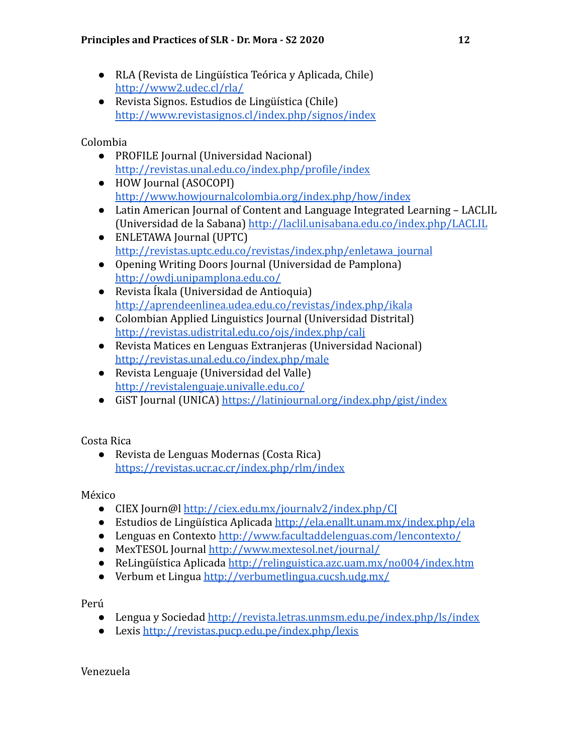- RLA (Revista de Lingüística Teórica y Aplicada, Chile) <http://www2.udec.cl/rla/>
- Revista Signos. Estudios de Lingüística (Chile) <http://www.revistasignos.cl/index.php/signos/index>

Colombia

- PROFILE Journal (Universidad Nacional) <http://revistas.unal.edu.co/index.php/profile/index>
- HOW Journal (ASOCOPI) <http://www.howjournalcolombia.org/index.php/how/index>
- Latin American Journal of Content and Language Integrated Learning LACLIL (Universidad de la Sabana) <http://laclil.unisabana.edu.co/index.php/LACLIL>
- ENLETAWA Journal (UPTC) [http://revistas.uptc.edu.co/revistas/index.php/enletawa\\_journal](http://revistas.uptc.edu.co/revistas/index.php/enletawa_journal)
- Opening Writing Doors Journal (Universidad de Pamplona) <http://owdj.unipamplona.edu.co/>
- Revista Íkala (Universidad de Antioquia) <http://aprendeenlinea.udea.edu.co/revistas/index.php/ikala>
- Colombian Applied Linguistics Journal (Universidad Distrital) <http://revistas.udistrital.edu.co/ojs/index.php/calj>
- Revista Matices en Lenguas Extranjeras (Universidad Nacional) <http://revistas.unal.edu.co/index.php/male>
- Revista Lenguaje (Universidad del Valle) <http://revistalenguaje.univalle.edu.co/>
- GiST Journal (UNICA) <https://latinjournal.org/index.php/gist/index>

Costa Rica

● Revista de Lenguas Modernas (Costa Rica) <https://revistas.ucr.ac.cr/index.php/rlm/index>

México

- CIEX Journ@l <http://ciex.edu.mx/journalv2/index.php/CJ>
- Estudios de Lingüística Aplicada <http://ela.enallt.unam.mx/index.php/ela>
- Lenguas en Contexto <http://www.facultaddelenguas.com/lencontexto/>
- MexTESOL Journal <http://www.mextesol.net/journal/>
- ReLingüística Aplicada <http://relinguistica.azc.uam.mx/no004/index.htm>
- Verbum et Lingua <http://verbumetlingua.cucsh.udg.mx/>

Perú

- Lengua y Sociedad <http://revista.letras.unmsm.edu.pe/index.php/ls/index>
- Lexis <http://revistas.pucp.edu.pe/index.php/lexis>

Venezuela